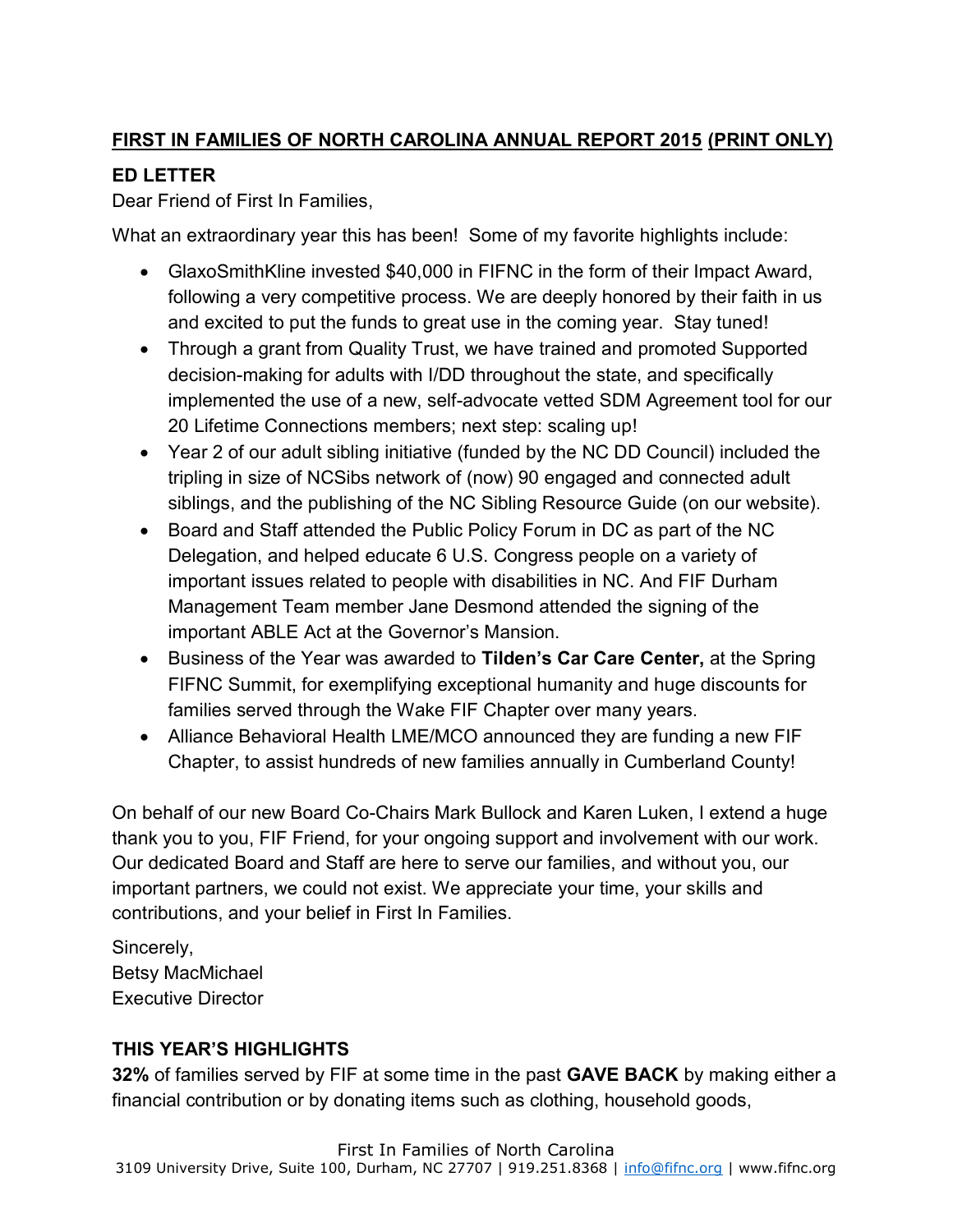# FIRST IN FAMILIES OF NORTH CAROLINA ANNUAL REPORT 2015 (PRINT ONLY)

### ED LETTER

Dear Friend of First In Families,

What an extraordinary year this has been! Some of my favorite highlights include:

- GlaxoSmithKline invested \$40,000 in FIFNC in the form of their Impact Award, following a very competitive process. We are deeply honored by their faith in us and excited to put the funds to great use in the coming year. Stay tuned!
- Through a grant from Quality Trust, we have trained and promoted Supported decision-making for adults with I/DD throughout the state, and specifically implemented the use of a new, self-advocate vetted SDM Agreement tool for our 20 Lifetime Connections members; next step: scaling up!
- Year 2 of our adult sibling initiative (funded by the NC DD Council) included the tripling in size of NCSibs network of (now) 90 engaged and connected adult siblings, and the publishing of the NC Sibling Resource Guide (on our website).
- Board and Staff attended the Public Policy Forum in DC as part of the NC Delegation, and helped educate 6 U.S. Congress people on a variety of important issues related to people with disabilities in NC. And FIF Durham Management Team member Jane Desmond attended the signing of the important ABLE Act at the Governor's Mansion.
- Business of the Year was awarded to Tilden's Car Care Center, at the Spring FIFNC Summit, for exemplifying exceptional humanity and huge discounts for families served through the Wake FIF Chapter over many years.
- Alliance Behavioral Health LME/MCO announced they are funding a new FIF Chapter, to assist hundreds of new families annually in Cumberland County!

On behalf of our new Board Co-Chairs Mark Bullock and Karen Luken, I extend a huge thank you to you, FIF Friend, for your ongoing support and involvement with our work. Our dedicated Board and Staff are here to serve our families, and without you, our important partners, we could not exist. We appreciate your time, your skills and contributions, and your belief in First In Families.

Sincerely, Betsy MacMichael Executive Director

# THIS YEAR'S HIGHLIGHTS

32% of families served by FIF at some time in the past GAVE BACK by making either a financial contribution or by donating items such as clothing, household goods,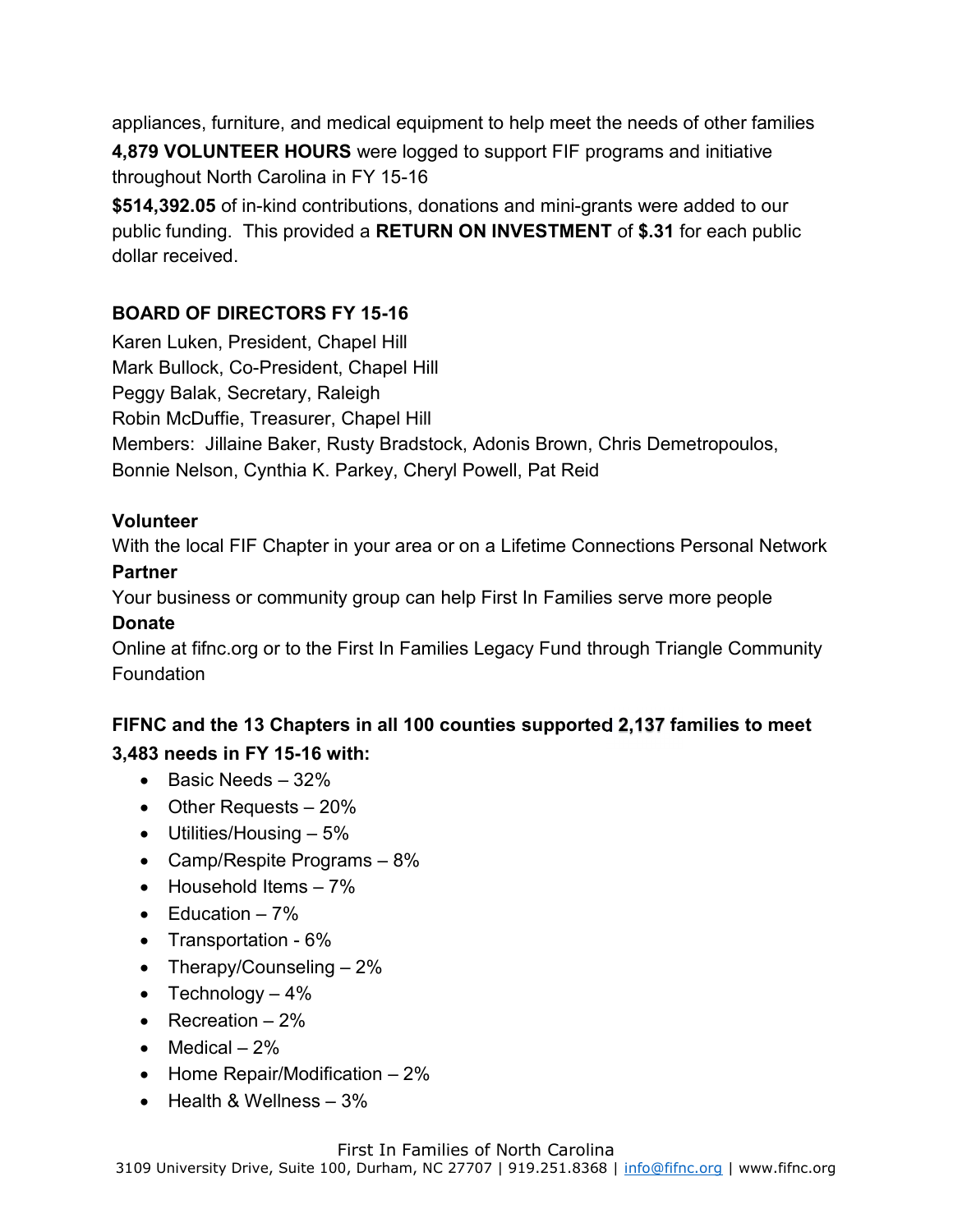appliances, furniture, and medical equipment to help meet the needs of other families 4,879 VOLUNTEER HOURS were logged to support FIF programs and initiative throughout North Carolina in FY 15-16

\$514,392.05 of in-kind contributions, donations and mini-grants were added to our public funding. This provided a RETURN ON INVESTMENT of \$.31 for each public dollar received.

# BOARD OF DIRECTORS FY 15-16

Karen Luken, President, Chapel Hill Mark Bullock, Co-President, Chapel Hill Peggy Balak, Secretary, Raleigh Robin McDuffie, Treasurer, Chapel Hill Members: Jillaine Baker, Rusty Bradstock, Adonis Brown, Chris Demetropoulos, Bonnie Nelson, Cynthia K. Parkey, Cheryl Powell, Pat Reid

### Volunteer

With the local FIF Chapter in your area or on a Lifetime Connections Personal Network Partner

Your business or community group can help First In Families serve more people

# **Donate**

Online at fifnc.org or to the First In Families Legacy Fund through Triangle Community Foundation

# FIFNC and the 13 Chapters in all 100 counties supported 2,137 families to meet 3,483 needs in FY 15-16 with:

- $\bullet$  Basic Needs 32%
- Other Requests 20%
- $\bullet$  Utilities/Housing  $-5\%$
- Camp/Respite Programs 8%
- $\bullet$  Household Items  $-7\%$
- $\bullet$  Education  $-7\%$
- Transportation 6%
- Therapy/Counseling  $-2\%$
- Technology  $-4%$
- Recreation  $-2\%$
- $\bullet$  Medical  $-2\%$
- $\bullet$  Home Repair/Modification  $-2\%$
- $\bullet$  Health & Wellness  $-3\%$